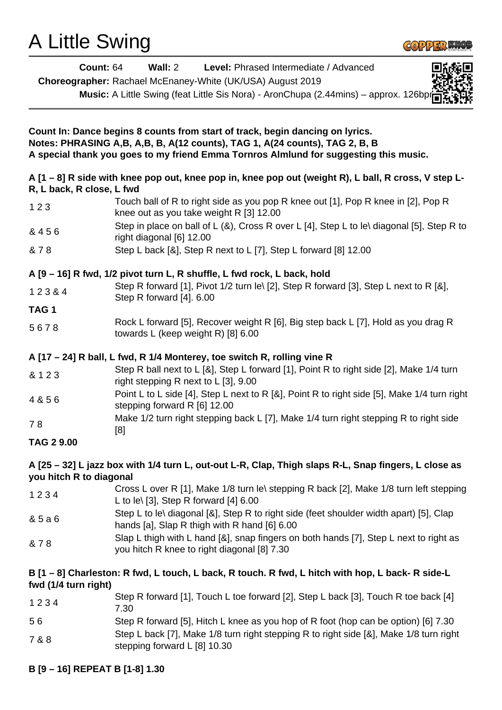# A Little Swing



| <b>Count: 64</b>          | Wall: $2$<br>Level: Phrased Intermediate / Advanced<br>Choreographer: Rachael McEnaney-White (UK/USA) August 2019                                                                                                                                       |
|---------------------------|---------------------------------------------------------------------------------------------------------------------------------------------------------------------------------------------------------------------------------------------------------|
|                           | Music: A Little Swing (feat Little Sis Nora) - AronChupa (2.44mins) - approx. 126bpr                                                                                                                                                                    |
|                           |                                                                                                                                                                                                                                                         |
|                           | Count In: Dance begins 8 counts from start of track, begin dancing on lyrics.<br>Notes: PHRASING A, B, A, B, B, A(12 counts), TAG 1, A(24 counts), TAG 2, B, B<br>A special thank you goes to my friend Emma Tornros Almlund for suggesting this music. |
| R, L back, R close, L fwd | A [1 – 8] R side with knee pop out, knee pop in, knee pop out (weight R), L ball, R cross, V step L-                                                                                                                                                    |
| 123                       | Touch ball of R to right side as you pop R knee out [1], Pop R knee in [2], Pop R<br>knee out as you take weight R [3] 12.00                                                                                                                            |
| & 456                     | Step in place on ball of L (&), Cross R over L [4], Step L to le\ diagonal [5], Step R to<br>right diagonal [6] 12.00                                                                                                                                   |
| & 78                      | Step L back [&], Step R next to L [7], Step L forward [8] 12.00                                                                                                                                                                                         |
|                           | A [9 - 16] R fwd, 1/2 pivot turn L, R shuffle, L fwd rock, L back, hold                                                                                                                                                                                 |
| 12384                     | Step R forward [1], Pivot 1/2 turn le\ [2], Step R forward [3], Step L next to R [&],<br>Step R forward [4]. 6.00                                                                                                                                       |
| TAG <sub>1</sub>          |                                                                                                                                                                                                                                                         |
| 5678                      | Rock L forward [5], Recover weight R [6], Big step back L [7], Hold as you drag R<br>towards L (keep weight R) [8] 6.00                                                                                                                                 |
|                           | A [17 - 24] R ball, L fwd, R 1/4 Monterey, toe switch R, rolling vine R                                                                                                                                                                                 |
| & 1 2 3                   | Step R ball next to L [&], Step L forward [1], Point R to right side [2], Make 1/4 turn<br>right stepping R next to L [3], 9.00                                                                                                                         |
| 4 & 5 6                   | Point L to L side [4], Step L next to R [&], Point R to right side [5], Make 1/4 turn right<br>stepping forward R [6] 12.00                                                                                                                             |
| 78                        | Make 1/2 turn right stepping back L [7], Make 1/4 turn right stepping R to right side<br>[8]                                                                                                                                                            |
| <b>TAG 2 9.00</b>         |                                                                                                                                                                                                                                                         |
| you hitch R to diagonal   | A [25 - 32] L jazz box with 1/4 turn L, out-out L-R, Clap, Thigh slaps R-L, Snap fingers, L close as                                                                                                                                                    |
| 1234                      | Cross L over R [1], Make 1/8 turn le\ stepping R back [2], Make 1/8 turn left stepping<br>L to le\ $[3]$ , Step R forward $[4]$ 6.00                                                                                                                    |
| & 5 a 6                   | Step L to le\ diagonal [&], Step R to right side (feet shoulder width apart) [5], Clap<br>hands [a], Slap R thigh with R hand [6] 6.00                                                                                                                  |
| & 78                      | Slap L thigh with L hand [&], snap fingers on both hands [7], Step L next to right as<br>you hitch R knee to right diagonal [8] 7.30                                                                                                                    |
| fwd (1/4 turn right)      | B [1 - 8] Charleston: R fwd, L touch, L back, R touch. R fwd, L hitch with hop, L back- R side-L                                                                                                                                                        |
| 1234                      | Step R forward [1], Touch L toe forward [2], Step L back [3], Touch R toe back [4]<br>7 ∩∩                                                                                                                                                              |

- 7.30
- 5 6 Step R forward [5], Hitch L knee as you hop of R foot (hop can be option) [6] 7.30
- 7 & 8 Step L back [7], Make 1/8 turn right stepping R to right side [&], Make 1/8 turn right stepping forward L [8] 10.30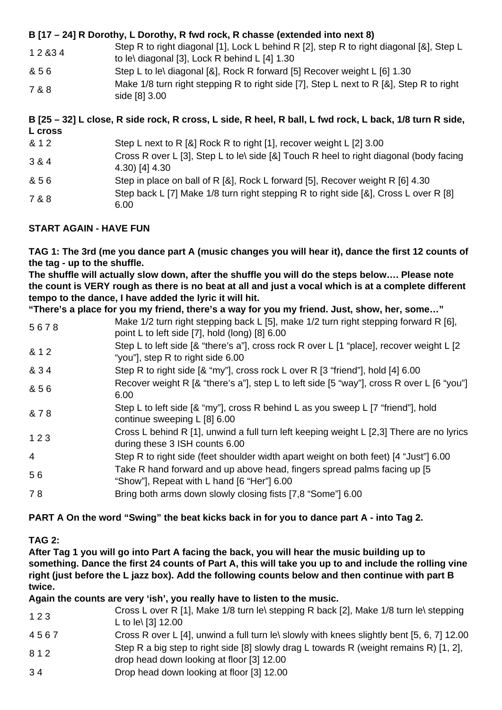## **B [17 – 24] R Dorothy, L Dorothy, R fwd rock, R chasse (extended into next 8)**

- 1 2 &3 4 Step R to right diagonal [1], Lock L behind R [2], step R to right diagonal [&], Step L to le\ diagonal [3], Lock R behind L [4] 1.30
- & 5 6 Step L to le\ diagonal [&], Rock R forward [5] Recover weight L [6] 1.30
- 7 & 8 Make 1/8 turn right stepping R to right side [7], Step L next to R [&], Step R to right side [8] 3.00

## **B [25 – 32] L close, R side rock, R cross, L side, R heel, R ball, L fwd rock, L back, 1/8 turn R side, L cross**

| & 1 2 | Step L next to R [&] Rock R to right [1], recover weight L [2] 3.00                                      |
|-------|----------------------------------------------------------------------------------------------------------|
| 3 & 4 | Cross R over L [3], Step L to le\ side [&] Touch R heel to right diagonal (body facing<br>4.30) [4] 4.30 |
| & 56  | Step in place on ball of R [&], Rock L forward [5], Recover weight R [6] 4.30                            |
| 7 & 8 | Step back L [7] Make 1/8 turn right stepping R to right side [8], Cross L over R [8]<br>6.00             |

#### **START AGAIN - HAVE FUN**

**TAG 1: The 3rd (me you dance part A (music changes you will hear it), dance the first 12 counts of the tag - up to the shuffle.**

**The shuffle will actually slow down, after the shuffle you will do the steps below…. Please note the count is VERY rough as there is no beat at all and just a vocal which is at a complete different tempo to the dance, I have added the lyric it will hit.**

**"There's a place for you my friend, there's a way for you my friend. Just, show, her, some…"**

- 5 6 7 8 Make 1/2 turn right stepping back L [5], make 1/2 turn right stepping forward R [6], point L to left side [7], hold (long) [8] 6.00
- & 1 2 Step L to left side [& "there's a"], cross rock R over L [1 "place], recover weight L [2 "you"], step R to right side 6.00
- & 3 4 Step R to right side [& "my"], cross rock L over R [3 "friend"], hold [4] 6.00
- & 5 6 Recover weight R [& "there's a"], step L to left side [5 "way"], cross R over L [6 "you"] 6.00
- & 7 8 Step L to left side [& "my"], cross R behind L as you sweep L [7 "friend"], hold continue sweeping L [8] 6.00
- 1 2 3 Cross L behind R [1], unwind a full turn left keeping weight L [2,3] There are no lyrics during these 3 ISH counts 6.00
- 4 Step R to right side (feet shoulder width apart weight on both feet) [4 "Just"] 6.00
- 5 6 Take R hand forward and up above head, fingers spread palms facing up [5
- "Show"], Repeat with L hand [6 "Her"] 6.00
- 7 8 Bring both arms down slowly closing fists [7,8 "Some"] 6.00

## **PART A On the word "Swing" the beat kicks back in for you to dance part A - into Tag 2.**

## **TAG 2:**

**After Tag 1 you will go into Part A facing the back, you will hear the music building up to something. Dance the first 24 counts of Part A, this will take you up to and include the rolling vine right (just before the L jazz box). Add the following counts below and then continue with part B twice.**

## **Again the counts are very 'ish', you really have to listen to the music.**

- 1 2 3 Cross L over R [1], Make 1/8 turn le\ stepping R back [2], Make 1/8 turn le\ stepping L to le\ [3] 12.00
- 4 5 6 7 Cross R over L [4], unwind a full turn le\ slowly with knees slightly bent [5, 6, 7] 12.00 8 1 2 Step R a big step to right side [8] slowly drag L towards R (weight remains R) [1, 2],
- drop head down looking at floor [3] 12.00
- 3 4 Drop head down looking at floor [3] 12.00